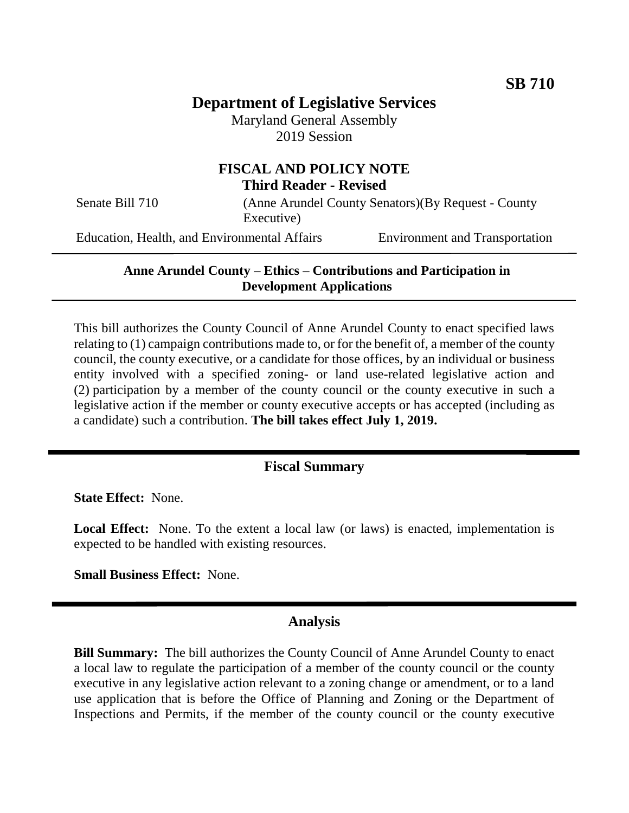# **Department of Legislative Services**

Maryland General Assembly 2019 Session

### **FISCAL AND POLICY NOTE Third Reader - Revised**

Senate Bill 710 (Anne Arundel County Senators)(By Request - County Executive)

Education, Health, and Environmental Affairs Environment and Transportation

#### **Anne Arundel County – Ethics – Contributions and Participation in Development Applications**

This bill authorizes the County Council of Anne Arundel County to enact specified laws relating to (1) campaign contributions made to, or for the benefit of, a member of the county council, the county executive, or a candidate for those offices, by an individual or business entity involved with a specified zoning- or land use-related legislative action and (2) participation by a member of the county council or the county executive in such a legislative action if the member or county executive accepts or has accepted (including as a candidate) such a contribution. **The bill takes effect July 1, 2019.**

### **Fiscal Summary**

**State Effect:** None.

Local Effect: None. To the extent a local law (or laws) is enacted, implementation is expected to be handled with existing resources.

**Small Business Effect:** None.

#### **Analysis**

**Bill Summary:** The bill authorizes the County Council of Anne Arundel County to enact a local law to regulate the participation of a member of the county council or the county executive in any legislative action relevant to a zoning change or amendment, or to a land use application that is before the Office of Planning and Zoning or the Department of Inspections and Permits, if the member of the county council or the county executive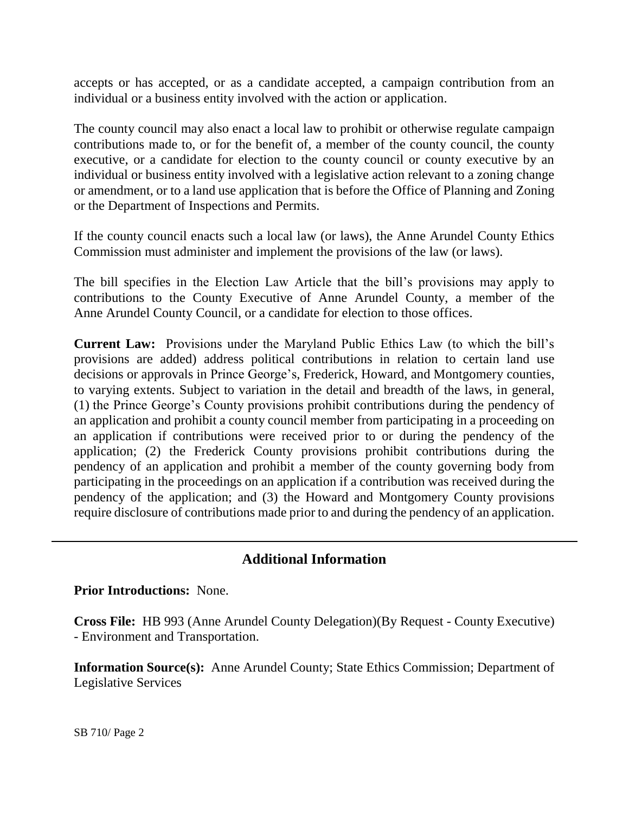accepts or has accepted, or as a candidate accepted, a campaign contribution from an individual or a business entity involved with the action or application.

The county council may also enact a local law to prohibit or otherwise regulate campaign contributions made to, or for the benefit of, a member of the county council, the county executive, or a candidate for election to the county council or county executive by an individual or business entity involved with a legislative action relevant to a zoning change or amendment, or to a land use application that is before the Office of Planning and Zoning or the Department of Inspections and Permits.

If the county council enacts such a local law (or laws), the Anne Arundel County Ethics Commission must administer and implement the provisions of the law (or laws).

The bill specifies in the Election Law Article that the bill's provisions may apply to contributions to the County Executive of Anne Arundel County, a member of the Anne Arundel County Council, or a candidate for election to those offices.

**Current Law:** Provisions under the Maryland Public Ethics Law (to which the bill's provisions are added) address political contributions in relation to certain land use decisions or approvals in Prince George's, Frederick, Howard, and Montgomery counties, to varying extents. Subject to variation in the detail and breadth of the laws, in general, (1) the Prince George's County provisions prohibit contributions during the pendency of an application and prohibit a county council member from participating in a proceeding on an application if contributions were received prior to or during the pendency of the application; (2) the Frederick County provisions prohibit contributions during the pendency of an application and prohibit a member of the county governing body from participating in the proceedings on an application if a contribution was received during the pendency of the application; and (3) the Howard and Montgomery County provisions require disclosure of contributions made prior to and during the pendency of an application.

## **Additional Information**

**Prior Introductions:** None.

**Cross File:** HB 993 (Anne Arundel County Delegation)(By Request - County Executive) - Environment and Transportation.

**Information Source(s):** Anne Arundel County; State Ethics Commission; Department of Legislative Services